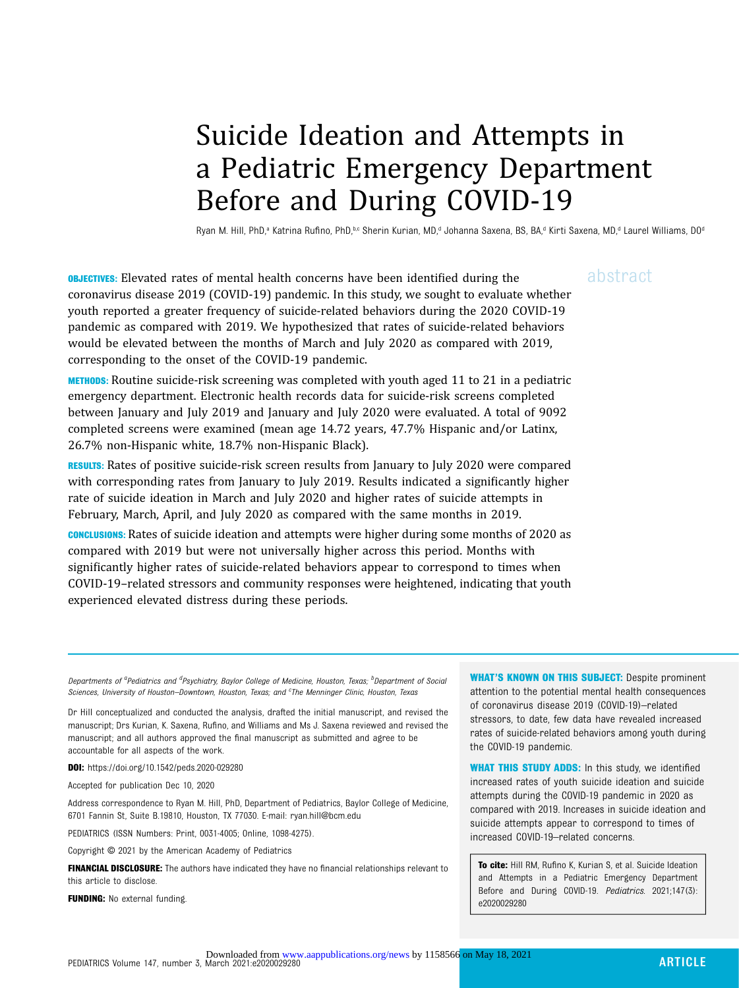# Suicide Ideation and Attempts in a Pediatric Emergency Department Before and During COVID-19

Ryan M. Hill, PhD,<sup>a</sup> Katrina Rufino, PhD,<sup>b,c</sup> Sherin Kurian, MD,<sup>d</sup> Johanna Saxena, BS, BA,<sup>d</sup> Kirti Saxena, MD,<sup>d</sup> Laurel Williams, D0<sup>d</sup>

**OBJECTIVES:** Elevated rates of mental health concerns have been identified during the  $a\bar{b}$ stract coronavirus disease 2019 (COVID-19) pandemic. In this study, we sought to evaluate whether youth reported a greater frequency of suicide-related behaviors during the 2020 COVID-19 pandemic as compared with 2019. We hypothesized that rates of suicide-related behaviors would be elevated between the months of March and July 2020 as compared with 2019, corresponding to the onset of the COVID-19 pandemic.

METHODS: Routine suicide-risk screening was completed with youth aged 11 to 21 in a pediatric emergency department. Electronic health records data for suicide-risk screens completed between January and July 2019 and January and July 2020 were evaluated. A total of 9092 completed screens were examined (mean age 14.72 years, 47.7% Hispanic and/or Latinx, 26.7% non-Hispanic white, 18.7% non-Hispanic Black).

RESULTS: Rates of positive suicide-risk screen results from January to July 2020 were compared with corresponding rates from January to July 2019. Results indicated a significantly higher rate of suicide ideation in March and July 2020 and higher rates of suicide attempts in February, March, April, and July 2020 as compared with the same months in 2019.

CONCLUSIONS: Rates of suicide ideation and attempts were higher during some months of 2020 as compared with 2019 but were not universally higher across this period. Months with significantly higher rates of suicide-related behaviors appear to correspond to times when COVID-19–related stressors and community responses were heightened, indicating that youth experienced elevated distress during these periods.

WHAT'S KNOWN ON THIS SUBJECT: Despite prominent attention to the potential mental health consequences of coronavirus disease 2019 (COVID-19)–related stressors, to date, few data have revealed increased rates of suicide-related behaviors among youth during the COVID-19 pandemic.

**WHAT THIS STUDY ADDS:** In this study, we identified increased rates of youth suicide ideation and suicide attempts during the COVID-19 pandemic in 2020 as compared with 2019. Increases in suicide ideation and suicide attempts appear to correspond to times of increased COVID-19–related concerns.

To cite: Hill RM, Rufino K, Kurian S, et al. Suicide Ideation and Attempts in a Pediatric Emergency Department Before and During COVID-19. Pediatrics. 2021;147(3): e2020029280

Departments of <sup>a</sup>Pediatrics and <sup>d</sup>Psychiatry, Baylor College of Medicine, Houston, Texas; <sup>b</sup>Department of Social Sciences, University of Houston-Downtown, Houston, Texas; and <sup>c</sup>The Menninger Clinic, Houston, Texas

Dr Hill conceptualized and conducted the analysis, drafted the initial manuscript, and revised the manuscript; Drs Kurian, K. Saxena, Rufino, and Williams and Ms J. Saxena reviewed and revised the manuscript; and all authors approved the final manuscript as submitted and agree to be accountable for all aspects of the work.

DOI: <https://doi.org/10.1542/peds.2020-029280>

Accepted for publication Dec 10, 2020

Address correspondence to Ryan M. Hill, PhD, Department of Pediatrics, Baylor College of Medicine, 6701 Fannin St, Suite B.19810, Houston, TX 77030. E-mail: [ryan.hill@bcm.edu](mailto:ryan.hill@bcm.edu)

PEDIATRICS (ISSN Numbers: Print, 0031-4005; Online, 1098-4275).

Copyright © 2021 by the American Academy of Pediatrics

FINANCIAL DISCLOSURE: The authors have indicated they have no financial relationships relevant to this article to disclose.

**FUNDING:** No external funding.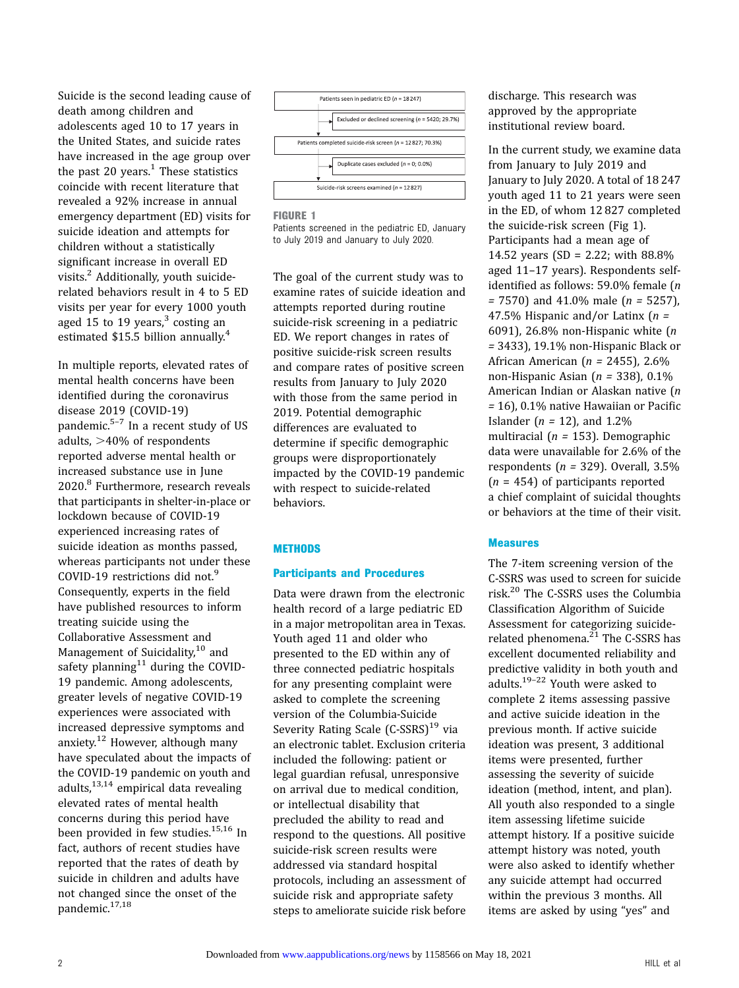Suicide is the second leading cause of death among children and adolescents aged 10 to 17 years in the United States, and suicide rates have increased in the age group over the past 20 years. $<sup>1</sup>$  These statistics</sup> coincide with recent literature that revealed a 92% increase in annual emergency department (ED) visits for suicide ideation and attempts for children without a statistically significant increase in overall ED visits.<sup>[2](#page-5-0)</sup> Additionally, youth suiciderelated behaviors result in 4 to 5 ED visits per year for every 1000 youth aged 15 to 19 years, $3$  costing an estimated \$15.5 billion annually.<sup>[4](#page-5-0)</sup>

In multiple reports, elevated rates of mental health concerns have been identified during the coronavirus disease 2019 (COVID-19) pandemic. $5-7$  $5-7$  $5-7$  In a recent study of US adults,  $>40\%$  of respondents reported adverse mental health or increased substance use in June 2020.<sup>[8](#page-5-0)</sup> Furthermore, research reveals that participants in shelter-in-place or lockdown because of COVID-19 experienced increasing rates of suicide ideation as months passed, whereas participants not under these COVID-19 restrictions did not.[9](#page-5-0) Consequently, experts in the field have published resources to inform treating suicide using the Collaborative Assessment and Management of Suicidality, $10$  and safety planning $11$  during the COVID-19 pandemic. Among adolescents, greater levels of negative COVID-19 experiences were associated with increased depressive symptoms and anxiety. $12$  However, although many have speculated about the impacts of the COVID-19 pandemic on youth and adults,[13](#page-5-0),[14](#page-5-0) empirical data revealing elevated rates of mental health concerns during this period have been provided in few studies.<sup>[15,16](#page-5-0)</sup> In fact, authors of recent studies have reported that the rates of death by suicide in children and adults have not changed since the onset of the pandemic.<sup>[17,18](#page-5-0)</sup>



#### FIGURE 1

Patients screened in the pediatric ED, January to July 2019 and January to July 2020.

The goal of the current study was to examine rates of suicide ideation and attempts reported during routine suicide-risk screening in a pediatric ED. We report changes in rates of positive suicide-risk screen results and compare rates of positive screen results from January to July 2020 with those from the same period in 2019. Potential demographic differences are evaluated to determine if specific demographic groups were disproportionately impacted by the COVID-19 pandemic with respect to suicide-related behaviors.

#### **METHODS**

#### Participants and Procedures

Data were drawn from the electronic health record of a large pediatric ED in a major metropolitan area in Texas. Youth aged 11 and older who presented to the ED within any of three connected pediatric hospitals for any presenting complaint were asked to complete the screening version of the Columbia-Suicide Severity Rating Scale (C-SSRS)<sup>[19](#page-5-0)</sup> via an electronic tablet. Exclusion criteria included the following: patient or legal guardian refusal, unresponsive on arrival due to medical condition, or intellectual disability that precluded the ability to read and respond to the questions. All positive suicide-risk screen results were addressed via standard hospital protocols, including an assessment of suicide risk and appropriate safety steps to ameliorate suicide risk before discharge. This research was approved by the appropriate institutional review board.

In the current study, we examine data from January to July 2019 and January to July 2020. A total of 18 247 youth aged 11 to 21 years were seen in the ED, of whom 12 827 completed the suicide-risk screen (Fig 1). Participants had a mean age of 14.52 years (SD = 2.22; with 88.8% aged 11–17 years). Respondents selfidentified as follows: 59.0% female (n  $= 7570$ ) and 41.0% male ( $n = 5257$ ), 47.5% Hispanic and/or Latinx  $(n =$ 6091), 26.8% non-Hispanic white (n = 3433), 19.1% non-Hispanic Black or African American ( $n = 2455$ ), 2.6% non-Hispanic Asian ( $n = 338$ ), 0.1% American Indian or Alaskan native (n = 16), 0.1% native Hawaiian or Pacific Islander ( $n = 12$ ), and 1.2% multiracial ( $n = 153$ ). Demographic data were unavailable for 2.6% of the respondents ( $n = 329$ ). Overall, 3.5%  $(n = 454)$  of participants reported a chief complaint of suicidal thoughts or behaviors at the time of their visit.

#### Measures

The 7-item screening version of the C-SSRS was used to screen for suicide risk.[20](#page-5-0) The C-SSRS uses the Columbia Classification Algorithm of Suicide Assessment for categorizing suiciderelated phenomena. $^{21}$  $^{21}$  $^{21}$  The C-SSRS has excellent documented reliability and predictive validity in both youth and adults[.19](#page-5-0)–[22](#page-5-0) Youth were asked to complete 2 items assessing passive and active suicide ideation in the previous month. If active suicide ideation was present, 3 additional items were presented, further assessing the severity of suicide ideation (method, intent, and plan). All youth also responded to a single item assessing lifetime suicide attempt history. If a positive suicide attempt history was noted, youth were also asked to identify whether any suicide attempt had occurred within the previous 3 months. All items are asked by using "yes" and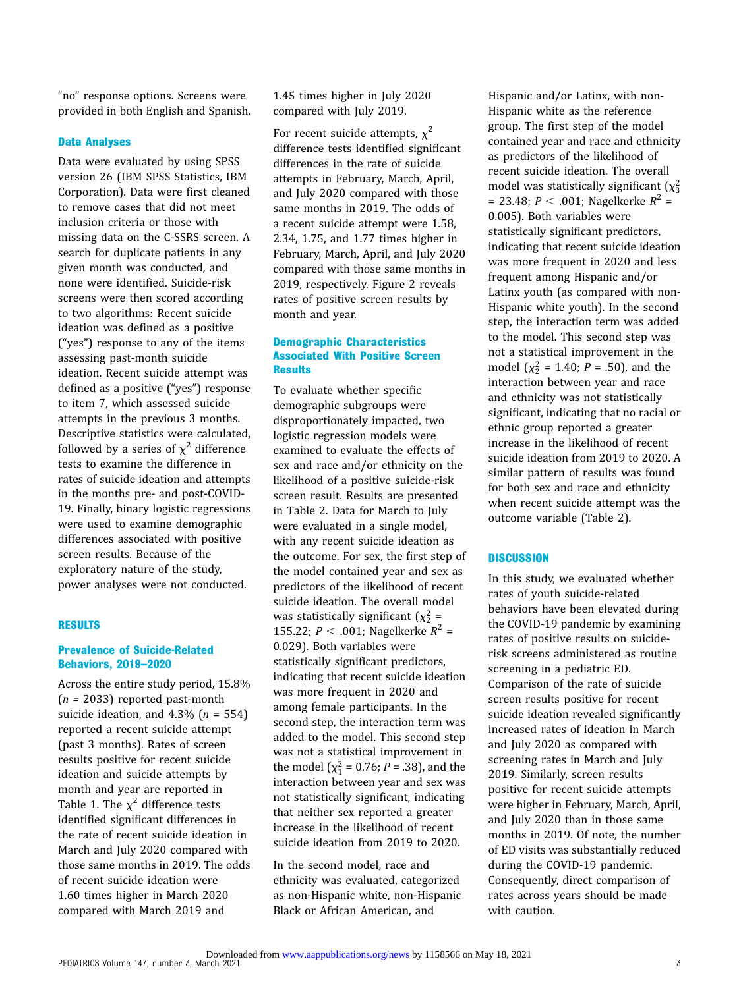"no" response options. Screens were provided in both English and Spanish.

## Data Analyses

Data were evaluated by using SPSS version 26 (IBM SPSS Statistics, IBM Corporation). Data were first cleaned to remove cases that did not meet inclusion criteria or those with missing data on the C-SSRS screen. A search for duplicate patients in any given month was conducted, and none were identified. Suicide-risk screens were then scored according to two algorithms: Recent suicide ideation was defined as a positive ("yes") response to any of the items assessing past-month suicide ideation. Recent suicide attempt was defined as a positive ("yes") response to item 7, which assessed suicide attempts in the previous 3 months. Descriptive statistics were calculated, followed by a series of  $\chi^2$  difference tests to examine the difference in rates of suicide ideation and attempts in the months pre- and post-COVID-19. Finally, binary logistic regressions were used to examine demographic differences associated with positive screen results. Because of the exploratory nature of the study, power analyses were not conducted.

#### RESULTS

## Prevalence of Suicide-Related Behaviors, 2019–2020

Across the entire study period, 15.8%  $(n = 2033)$  reported past-month suicide ideation, and  $4.3\%$  ( $n = 554$ ) reported a recent suicide attempt (past 3 months). Rates of screen results positive for recent suicide ideation and suicide attempts by month and year are reported in Table 1. The  $\chi^2$  difference tests identified significant differences in the rate of recent suicide ideation in March and July 2020 compared with those same months in 2019. The odds of recent suicide ideation were 1.60 times higher in March 2020 compared with March 2019 and

1.45 times higher in July 2020 compared with July 2019.

For recent suicide attempts,  $\chi^2$ difference tests identified significant differences in the rate of suicide attempts in February, March, April, and July 2020 compared with those same months in 2019. The odds of a recent suicide attempt were 1.58, 2.34, 1.75, and 1.77 times higher in February, March, April, and July 2020 compared with those same months in 2019, respectively. [Figure 2](#page-3-0) reveals rates of positive screen results by month and year.

## Demographic Characteristics Associated With Positive Screen **Results**

To evaluate whether specific demographic subgroups were disproportionately impacted, two logistic regression models were examined to evaluate the effects of sex and race and/or ethnicity on the likelihood of a positive suicide-risk screen result. Results are presented in Table 2. Data for March to July were evaluated in a single model, with any recent suicide ideation as the outcome. For sex, the first step of the model contained year and sex as predictors of the likelihood of recent suicide ideation. The overall model was statistically significant  $(\chi^2$  = 155.22;  $P < .001$ ; Nagelkerke  $R^2 =$ 0.029). Both variables were statistically significant predictors, indicating that recent suicide ideation was more frequent in 2020 and among female participants. In the second step, the interaction term was added to the model. This second step was not a statistical improvement in the model ( $\chi_1^2$  = 0.76; *P* = .38), and the interaction between year and sex was not statistically significant, indicating that neither sex reported a greater increase in the likelihood of recent suicide ideation from 2019 to 2020.

In the second model, race and ethnicity was evaluated, categorized as non-Hispanic white, non-Hispanic Black or African American, and

Hispanic and/or Latinx, with non-Hispanic white as the reference group. The first step of the model contained year and race and ethnicity as predictors of the likelihood of recent suicide ideation. The overall model was statistically significant  $(\chi^2_3)$ = 23.48;  $P < .001$ ; Nagelkerke  $R^2$  = 0.005). Both variables were statistically significant predictors, indicating that recent suicide ideation was more frequent in 2020 and less frequent among Hispanic and/or Latinx youth (as compared with non-Hispanic white youth). In the second step, the interaction term was added to the model. This second step was not a statistical improvement in the model  $(\chi^2_2 = 1.40; P = .50)$ , and the interaction between year and race and ethnicity was not statistically significant, indicating that no racial or ethnic group reported a greater increase in the likelihood of recent suicide ideation from 2019 to 2020. A similar pattern of results was found for both sex and race and ethnicity when recent suicide attempt was the outcome variable (Table 2).

# **DISCUSSION**

In this study, we evaluated whether rates of youth suicide-related behaviors have been elevated during the COVID-19 pandemic by examining rates of positive results on suiciderisk screens administered as routine screening in a pediatric ED. Comparison of the rate of suicide screen results positive for recent suicide ideation revealed significantly increased rates of ideation in March and July 2020 as compared with screening rates in March and July 2019. Similarly, screen results positive for recent suicide attempts were higher in February, March, April, and July 2020 than in those same months in 2019. Of note, the number of ED visits was substantially reduced during the COVID-19 pandemic. Consequently, direct comparison of rates across years should be made with caution.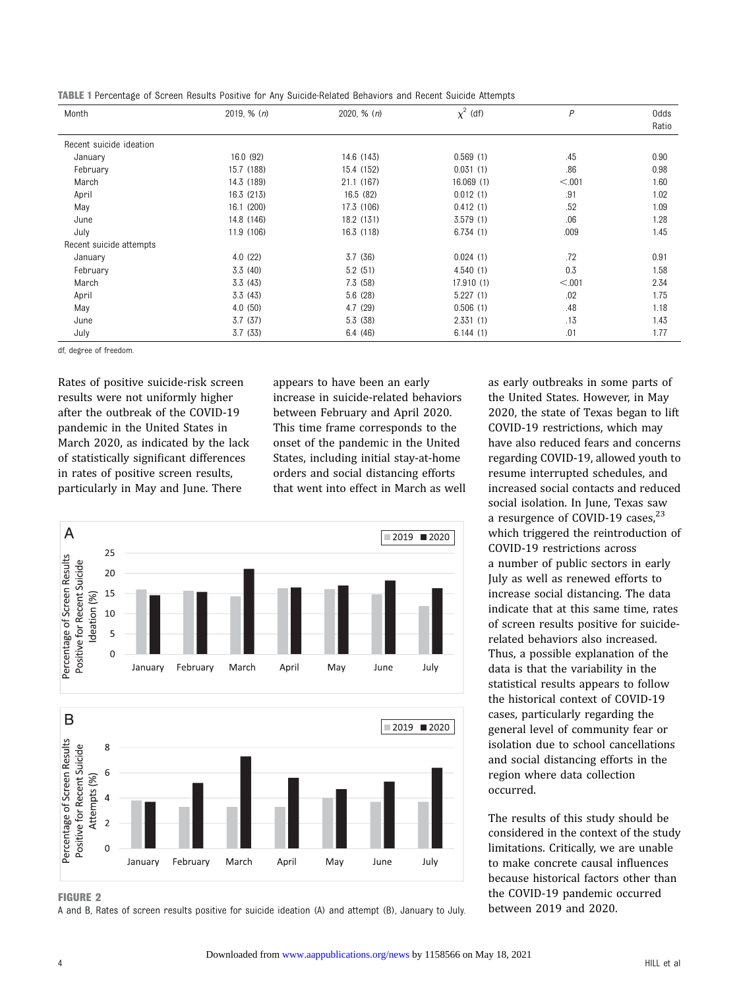<span id="page-3-0"></span>TABLE 1 Percentage of Screen Results Positive for Any Suicide-Related Behaviors and Recent Suicide Attempts

| Month                   | 2019, $% (n)$ | 2020, $% (n)$ | $\chi^2$ (df) | P      | 0dds  |
|-------------------------|---------------|---------------|---------------|--------|-------|
|                         |               |               |               |        | Ratio |
| Recent suicide ideation |               |               |               |        |       |
| January                 | 16.0 (92)     | 14.6 (143)    | 0.569(1)      | .45    | 0.90  |
| February                | 15.7 (188)    | 15.4 (152)    | 0.031(1)      | .86    | 0.98  |
| March                   | 14.3 (189)    | 21.1 (167)    | 16.069(1)     | < 0.01 | 1.60  |
| April                   | 16.3 (213)    | 16.5 (82)     | 0.012(1)      | .91    | 1.02  |
| May                     | 16.1 (200)    | 17.3 (106)    | 0.412(1)      | .52    | 1.09  |
| June                    | 14.8 (146)    | 18.2 (131)    | 3.579(1)      | .06    | 1.28  |
| July                    | 11.9 (106)    | 16.3 (118)    | 6.734(1)      | .009   | 1.45  |
| Recent suicide attempts |               |               |               |        |       |
| January                 | 4.0(22)       | 3.7(36)       | 0.024(1)      | .72    | 0.91  |
| February                | 3.3(40)       | 5.2(51)       | 4.540(1)      | 0.3    | 1.58  |
| March                   | 3.3(43)       | 7.3(58)       | 17.910(1)     | < 0.01 | 2.34  |
| April                   | 3.3(43)       | 5.6(28)       | 5.227(1)      | .02    | 1.75  |
| May                     | 4.0(50)       | 4.7(29)       | 0.506(1)      | .48    | 1.18  |
| June                    | 3.7(37)       | 5.3(38)       | 2.331(1)      | .13    | 1.43  |
| July                    | 3.7(33)       | 6.4(46)       | 6.144(1)      | .01    | 1.77  |

df, degree of freedom.

Rates of positive suicide-risk screen results were not uniformly higher after the outbreak of the COVID-19 pandemic in the United States in March 2020, as indicated by the lack of statistically significant differences in rates of positive screen results, particularly in May and June. There

appears to have been an early increase in suicide-related behaviors between February and April 2020. This time frame corresponds to the onset of the pandemic in the United States, including initial stay-at-home orders and social distancing efforts that went into effect in March as well



FIGURE 2

A and B, Rates of screen results positive for suicide ideation (A) and attempt (B), January to July.

as early outbreaks in some parts of the United States. However, in May 2020, the state of Texas began to lift COVID-19 restrictions, which may have also reduced fears and concerns regarding COVID-19, allowed youth to resume interrupted schedules, and increased social contacts and reduced social isolation. In June, Texas saw a resurgence of COVID-19 cases,<sup>[23](#page-5-0)</sup> which triggered the reintroduction of COVID-19 restrictions across a number of public sectors in early July as well as renewed efforts to increase social distancing. The data indicate that at this same time, rates of screen results positive for suiciderelated behaviors also increased. Thus, a possible explanation of the data is that the variability in the statistical results appears to follow the historical context of COVID-19 cases, particularly regarding the general level of community fear or isolation due to school cancellations and social distancing efforts in the region where data collection occurred.

The results of this study should be considered in the context of the study limitations. Critically, we are unable to make concrete causal influences because historical factors other than the COVID-19 pandemic occurred between 2019 and 2020.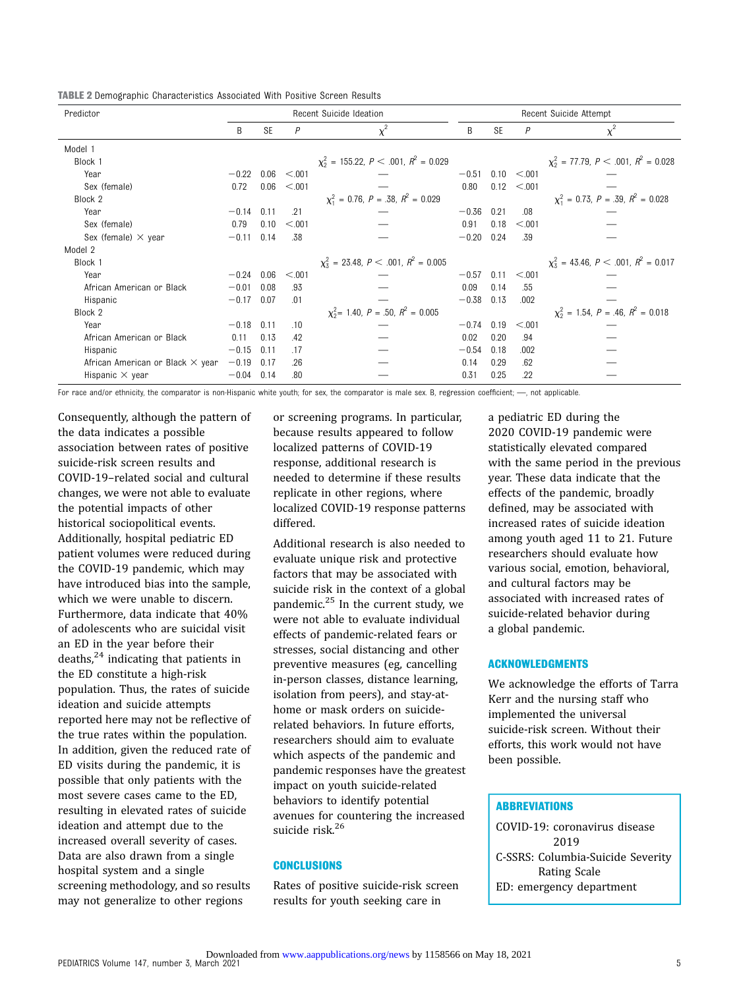TABLE 2 Demographic Characteristics Associated With Positive Screen Results

| Predictor                               | Recent Suicide Ideation |           |         | Recent Suicide Attempt                              |         |           |                  |                                                    |  |
|-----------------------------------------|-------------------------|-----------|---------|-----------------------------------------------------|---------|-----------|------------------|----------------------------------------------------|--|
|                                         | B                       | <b>SE</b> | P       | $\chi^2$                                            | B       | <b>SE</b> | P                | $\chi^2$                                           |  |
| Model 1                                 |                         |           |         |                                                     |         |           |                  |                                                    |  |
| Block 1                                 |                         |           |         | $\chi^2$ = 155.22, P < .001, R <sup>2</sup> = 0.029 |         |           |                  | $\chi^2$ = 77.79, P < .001, R <sup>2</sup> = 0.028 |  |
| Year                                    | $-0.22$                 | 0.06      | < 0.001 |                                                     | $-0.51$ |           | $0.10 \le 0.001$ |                                                    |  |
| Sex (female)                            | 0.72                    | 0.06      | < 0.001 |                                                     | 0.80    | 0.12      | < 0.01           |                                                    |  |
| Block 2                                 |                         |           |         | $\chi_1^2 = 0.76$ , $P = .38$ , $R^2 = 0.029$       |         |           |                  | $\chi_1^2 = 0.73$ , $P = .39$ , $R^2 = 0.028$      |  |
| Year                                    | $-0.14$                 | 0.11      | .21     |                                                     | $-0.36$ | 0.21      | .08              |                                                    |  |
| Sex (female)                            | 0.79                    | 0.10      | < 0.001 | 0.91<br>0.18<br>< 0.01                              |         |           |                  |                                                    |  |
| Sex (female) $\times$ year              | $-0.11$                 | 0.14      | .38     |                                                     | $-0.20$ | 0.24      | .39              |                                                    |  |
| Model 2                                 |                         |           |         |                                                     |         |           |                  |                                                    |  |
| Block 1                                 |                         |           |         | $\chi^2$ = 23.48, P < .001, R <sup>2</sup> = 0.005  |         |           |                  | $\chi^2$ = 43.46, P < .001, R <sup>2</sup> = 0.017 |  |
| Year                                    | $-0.24$                 | 0.06      | < 0.001 |                                                     | $-0.57$ | 0.11      | < 0.001          |                                                    |  |
| African American or Black               | $-0.01$                 | 0.08      | .93     |                                                     | 0.09    | 0.14      | .55              |                                                    |  |
| Hispanic                                | $-0.17$                 | 0.07      | .01     |                                                     | $-0.38$ | 0.13      | .002             |                                                    |  |
| Block 2                                 |                         |           |         | $\chi_2^2$ = 1.40, P = .50, R <sup>2</sup> = 0.005  |         |           |                  | $\chi^2$ = 1.54, P = .46, R <sup>2</sup> = 0.018   |  |
| Year                                    | $-0.18$                 | 0.11      | .10     |                                                     | $-0.74$ | 0.19      | < 0.001          |                                                    |  |
| African American or Black               | 0.11                    | 0.13      | .42     |                                                     | 0.02    | 0.20      | .94              |                                                    |  |
| Hispanic                                | $-0.15$                 | 0.11      | .17     |                                                     | $-0.54$ | 0.18      | .002             |                                                    |  |
| African American or Black $\times$ year | $-0.19$                 | 0.17      | .26     |                                                     | 0.14    | 0.29      | .62              |                                                    |  |
| Hispanic $\times$ year                  | $-0.04$                 | 0.14      | .80     |                                                     | 0.31    | 0.25      | .22              |                                                    |  |

For race and/or ethnicity, the comparator is non-Hispanic white youth; for sex, the comparator is male sex. B, regression coefficient; --, not applicable.

Consequently, although the pattern of the data indicates a possible association between rates of positive suicide-risk screen results and COVID-19–related social and cultural changes, we were not able to evaluate the potential impacts of other historical sociopolitical events. Additionally, hospital pediatric ED patient volumes were reduced during the COVID-19 pandemic, which may have introduced bias into the sample, which we were unable to discern. Furthermore, data indicate that 40% of adolescents who are suicidal visit an ED in the year before their deaths, $^{24}$  indicating that patients in the ED constitute a high-risk population. Thus, the rates of suicide ideation and suicide attempts reported here may not be reflective of the true rates within the population. In addition, given the reduced rate of ED visits during the pandemic, it is possible that only patients with the most severe cases came to the ED, resulting in elevated rates of suicide ideation and attempt due to the increased overall severity of cases. Data are also drawn from a single hospital system and a single screening methodology, and so results may not generalize to other regions

or screening programs. In particular, because results appeared to follow localized patterns of COVID-19 response, additional research is needed to determine if these results replicate in other regions, where localized COVID-19 response patterns differed.

Additional research is also needed to evaluate unique risk and protective factors that may be associated with suicide risk in the context of a global pandemic. $^{25}$  $^{25}$  $^{25}$  In the current study, we were not able to evaluate individual effects of pandemic-related fears or stresses, social distancing and other preventive measures (eg, cancelling in-person classes, distance learning, isolation from peers), and stay-athome or mask orders on suiciderelated behaviors. In future efforts, researchers should aim to evaluate which aspects of the pandemic and pandemic responses have the greatest impact on youth suicide-related behaviors to identify potential avenues for countering the increased suicide risk.<sup>[26](#page-5-0)</sup>

# **CONCLUSIONS**

Rates of positive suicide-risk screen results for youth seeking care in

a pediatric ED during the 2020 COVID-19 pandemic were statistically elevated compared with the same period in the previous year. These data indicate that the effects of the pandemic, broadly defined, may be associated with increased rates of suicide ideation among youth aged 11 to 21. Future researchers should evaluate how various social, emotion, behavioral, and cultural factors may be associated with increased rates of suicide-related behavior during a global pandemic.

#### ACKNOWLEDGMENTS

We acknowledge the efforts of Tarra Kerr and the nursing staff who implemented the universal suicide-risk screen. Without their efforts, this work would not have been possible.

# **ABBREVIATIONS**

COVID-19: coronavirus disease 2019 C-SSRS: Columbia-Suicide Severity Rating Scale ED: emergency department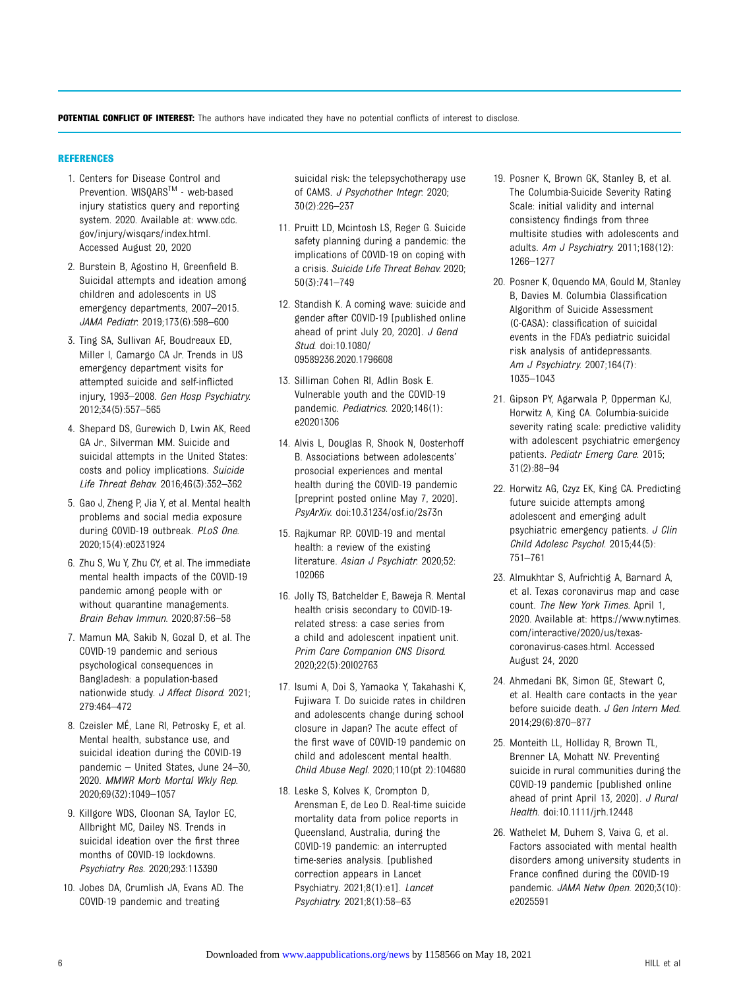<span id="page-5-0"></span>POTENTIAL CONFLICT OF INTEREST: The authors have indicated they have no potential conflicts of interest to disclose.

## REFERENCES

- 1. Centers for Disease Control and Prevention. WISQARSTM - web-based injury statistics query and reporting system. 2020. Available at: [www.cdc.](http://www.cdc.gov/injury/wisqars/index.html) [gov/injury/wisqars/index.html.](http://www.cdc.gov/injury/wisqars/index.html) Accessed August 20, 2020
- 2. Burstein B, Agostino H, Greenfield B. Suicidal attempts and ideation among children and adolescents in US emergency departments, 2007–2015. JAMA Pediatr. 2019;173(6):598–600
- 3. Ting SA, Sullivan AF, Boudreaux ED, Miller I, Camargo CA Jr. Trends in US emergency department visits for attempted suicide and self-inflicted injury, 1993–2008. Gen Hosp Psychiatry. 2012;34(5):557–565
- 4. Shepard DS, Gurewich D, Lwin AK, Reed GA Jr., Silverman MM. Suicide and suicidal attempts in the United States: costs and policy implications. Suicide Life Threat Behav. 2016;46(3):352–362
- 5. Gao J, Zheng P, Jia Y, et al. Mental health problems and social media exposure during COVID-19 outbreak. PLoS One. 2020;15(4):e0231924
- 6. Zhu S, Wu Y, Zhu CY, et al. The immediate mental health impacts of the COVID-19 pandemic among people with or without quarantine managements. Brain Behav Immun. 2020;87:56–58
- 7. Mamun MA, Sakib N, Gozal D, et al. The COVID-19 pandemic and serious psychological consequences in Bangladesh: a population-based nationwide study. J Affect Disord. 2021; 279:464–472
- 8. Czeisler MÉ, Lane RI, Petrosky E, et al. Mental health, substance use, and suicidal ideation during the COVID-19 pandemic – United States, June 24–30, 2020. MMWR Morb Mortal Wkly Rep. 2020;69(32):1049–1057
- 9. Killgore WDS, Cloonan SA, Taylor EC, Allbright MC, Dailey NS. Trends in suicidal ideation over the first three months of COVID-19 lockdowns. Psychiatry Res. 2020;293:113390
- 10. Jobes DA, Crumlish JA, Evans AD. The COVID-19 pandemic and treating

suicidal risk: the telepsychotherapy use of CAMS. J Psychother Integr. 2020; 30(2):226–237

- 11. Pruitt LD, Mcintosh LS, Reger G. Suicide safety planning during a pandemic: the implications of COVID-19 on coping with a crisis. Suicide Life Threat Behav. 2020; 50(3):741–749
- 12. Standish K. A coming wave: suicide and gender after COVID-19 [published online ahead of print July 20, 2020]. J Gend Stud. doi:10.1080/ 09589236.2020.1796608
- 13. Silliman Cohen RI, Adlin Bosk E. Vulnerable youth and the COVID-19 pandemic. Pediatrics. 2020;146(1): e20201306
- 14. Alvis L, Douglas R, Shook N, Oosterhoff B. Associations between adolescents' prosocial experiences and mental health during the COVID-19 pandemic [preprint posted online May 7, 2020]. PsyArXiv. doi:10.31234/osf.io/2s73n
- 15. Rajkumar RP. COVID-19 and mental health: a review of the existing literature. Asian J Psychiatr. 2020;52: 102066
- 16. Jolly TS, Batchelder E, Baweja R. Mental health crisis secondary to COVID-19 related stress: a case series from a child and adolescent inpatient unit. Prim Care Companion CNS Disord. 2020;22(5):20l02763
- 17. Isumi A, Doi S, Yamaoka Y, Takahashi K, Fujiwara T. Do suicide rates in children and adolescents change during school closure in Japan? The acute effect of the first wave of COVID-19 pandemic on child and adolescent mental health. Child Abuse Negl. 2020;110(pt 2):104680
- 18. Leske S, Kolves K, Crompton D, Arensman E, de Leo D. Real-time suicide mortality data from police reports in Queensland, Australia, during the COVID-19 pandemic: an interrupted time-series analysis. [published correction appears in Lancet Psychiatry. 2021;8(1):e1]. Lancet Psychiatry. 2021;8(1):58–63
- 19. Posner K, Brown GK, Stanley B, et al. The Columbia-Suicide Severity Rating Scale: initial validity and internal consistency findings from three multisite studies with adolescents and adults. Am J Psychiatry. 2011;168(12): 1266–1277
- 20. Posner K, Oquendo MA, Gould M, Stanley B, Davies M. Columbia Classification Algorithm of Suicide Assessment (C-CASA): classification of suicidal events in the FDA's pediatric suicidal risk analysis of antidepressants. Am J Psychiatry. 2007;164(7): 1035–1043
- 21. Gipson PY, Agarwala P, Opperman KJ, Horwitz A, King CA. Columbia-suicide severity rating scale: predictive validity with adolescent psychiatric emergency patients. Pediatr Emerg Care. 2015; 31(2):88–94
- 22. Horwitz AG, Czyz EK, King CA. Predicting future suicide attempts among adolescent and emerging adult psychiatric emergency patients. J Clin Child Adolesc Psychol. 2015;44(5): 751–761
- 23. Almukhtar S, Aufrichtig A, Barnard A, et al. Texas coronavirus map and case count. The New York Times. April 1, 2020. Available at: [https://www.nytimes.](https://www.nytimes.com/interactive/2020/us/texas-coronavirus-cases.html) [com/interactive/2020/us/texas](https://www.nytimes.com/interactive/2020/us/texas-coronavirus-cases.html)[coronavirus-cases.html.](https://www.nytimes.com/interactive/2020/us/texas-coronavirus-cases.html) Accessed August 24, 2020
- 24. Ahmedani BK, Simon GE, Stewart C, et al. Health care contacts in the year before suicide death. J Gen Intern Med. 2014;29(6):870–877
- 25. Monteith LL, Holliday R, Brown TL, Brenner LA, Mohatt NV. Preventing suicide in rural communities during the COVID-19 pandemic [published online ahead of print April 13, 2020]. J Rural Health. doi:10.1111/jrh.12448
- 26. Wathelet M, Duhem S, Vaiva G, et al. Factors associated with mental health disorders among university students in France confined during the COVID-19 pandemic. JAMA Netw Open. 2020;3(10): e2025591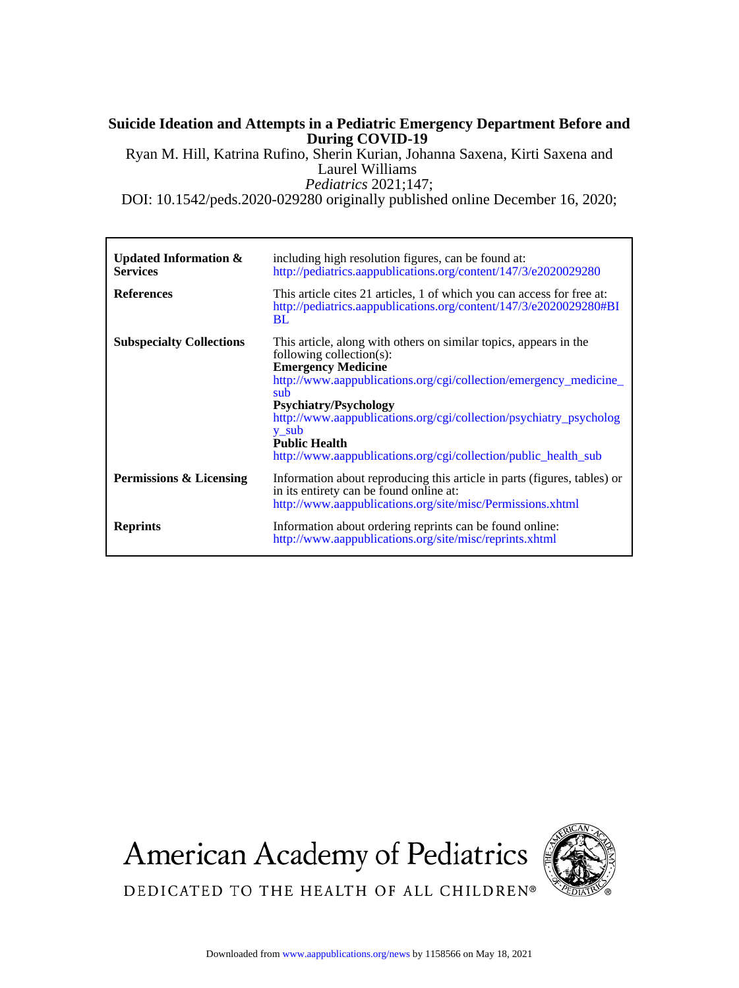# **During COVID-19 Suicide Ideation and Attempts in a Pediatric Emergency Department Before and**

*Pediatrics* 2021;147; Laurel Williams Ryan M. Hill, Katrina Rufino, Sherin Kurian, Johanna Saxena, Kirti Saxena and

DOI: 10.1542/peds.2020-029280 originally published online December 16, 2020;

| Updated Information $\&$<br><b>Services</b> | including high resolution figures, can be found at:<br>http://pediatrics.aappublications.org/content/147/3/e2020029280                                                                                                                                                                                                                                                                                           |
|---------------------------------------------|------------------------------------------------------------------------------------------------------------------------------------------------------------------------------------------------------------------------------------------------------------------------------------------------------------------------------------------------------------------------------------------------------------------|
| <b>References</b>                           | This article cites 21 articles, 1 of which you can access for free at:<br>http://pediatrics.aappublications.org/content/147/3/e2020029280#BI<br><b>BL</b>                                                                                                                                                                                                                                                        |
| <b>Subspecialty Collections</b>             | This article, along with others on similar topics, appears in the<br>following collection(s):<br><b>Emergency Medicine</b><br>http://www.aappublications.org/cgi/collection/emergency_medicine_<br>sub<br><b>Psychiatry/Psychology</b><br>http://www.aappublications.org/cgi/collection/psychiatry_psycholog<br>y sub<br><b>Public Health</b><br>http://www.aappublications.org/cgi/collection/public health sub |
| Permissions & Licensing                     | Information about reproducing this article in parts (figures, tables) or<br>in its entirety can be found online at:<br>http://www.aappublications.org/site/misc/Permissions.xhtml                                                                                                                                                                                                                                |
| <b>Reprints</b>                             | Information about ordering reprints can be found online:<br>http://www.aappublications.org/site/misc/reprints.xhtml                                                                                                                                                                                                                                                                                              |

**American Academy of Pediatrics** 



DEDICATED TO THE HEALTH OF ALL CHILDREN®